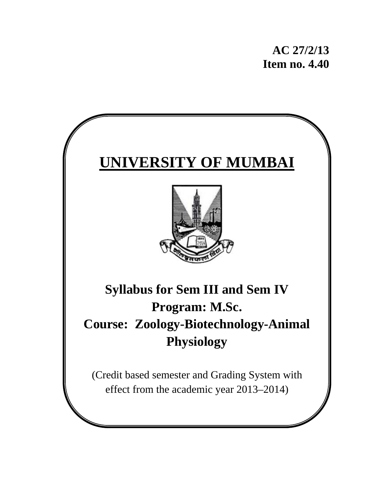**AC 27/2/13 Item no. 4.40** 

# **UNIVERSITY OF MUMBAI**



# **Syllabus for Sem III and Sem IV Program: M.Sc. Course: Zoology-Biotechnology-Animal Physiology**

(Credit based semester and Grading System with effect from the academic year 2013–2014)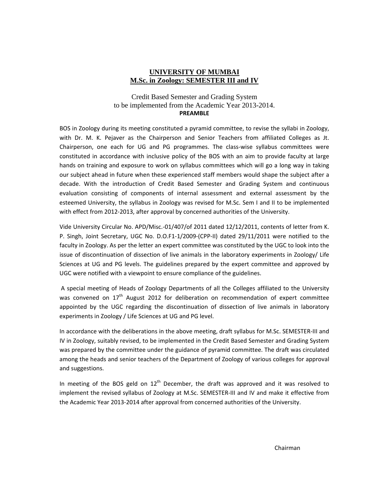#### **UNIVERSITY OF MUMBAI M.Sc. in Zoology: SEMESTER III and IV**

#### Credit Based Semester and Grading System to be implemented from the Academic Year 2013-2014. **PREAMBLE**

BOS in Zoology during its meeting constituted a pyramid committee, to revise the syllabi in Zoology, with Dr. M. K. Pejaver as the Chairperson and Senior Teachers from affiliated Colleges as Jt. Chairperson, one each for UG and PG programmes. The class-wise syllabus committees were constituted in accordance with inclusive policy of the BOS with an aim to provide faculty at large hands on training and exposure to work on syllabus committees which will go a long way in taking our subject ahead in future when these experienced staff members would shape the subject after a decade. With the introduction of Credit Based Semester and Grading System and continuous evaluation consisting of components of internal assessment and external assessment by the esteemed University, the syllabus in Zoology was revised for M.Sc. Sem I and II to be implemented with effect from 2012-2013, after approval by concerned authorities of the University.

Vide University Circular No. APD/Misc.‐01/407/of 2011 dated 12/12/2011, contents of letter from K. P. Singh, Joint Secretary, UGC No. D.O.F1‐1/2009‐(CPP‐II) dated 29/11/2011 were notified to the faculty in Zoology. As per the letter an expert committee was constituted by the UGC to look into the issue of discontinuation of dissection of live animals in the laboratory experiments in Zoology/ Life Sciences at UG and PG levels. The guidelines prepared by the expert committee and approved by UGC were notified with a viewpoint to ensure compliance of the guidelines.

A special meeting of Heads of Zoology Departments of all the Colleges affiliated to the University was convened on 17<sup>th</sup> August 2012 for deliberation on recommendation of expert committee appointed by the UGC regarding the discontinuation of dissection of live animals in laboratory experiments in Zoology / Life Sciences at UG and PG level.

In accordance with the deliberations in the above meeting, draft syllabus for M.Sc. SEMESTER‐III and IV in Zoology, suitably revised, to be implemented in the Credit Based Semester and Grading System was prepared by the committee under the guidance of pyramid committee. The draft was circulated among the heads and senior teachers of the Department of Zoology of various colleges for approval and suggestions.

In meeting of the BOS geld on  $12<sup>th</sup>$  December, the draft was approved and it was resolved to implement the revised syllabus of Zoology at M.Sc. SEMESTER‐III and IV and make it effective from the Academic Year 2013‐2014 after approval from concerned authorities of the University.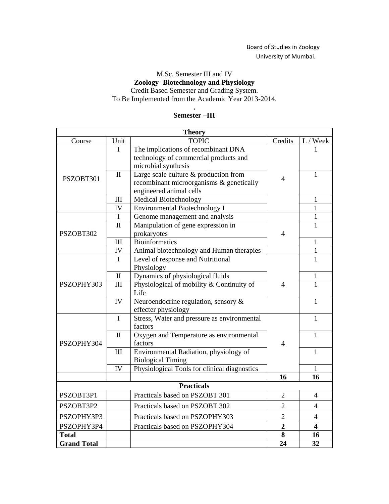### Board of Studies in Zoology University of Mumbai.

#### M.Sc. Semester III and IV **Zoology- Biotechnology and Physiology** Credit Based Semester and Grading System. To Be Implemented from the Academic Year 2013-2014.

#### **. Semester –III**

| <b>Theory</b>                                                  |                   |                                                                               |                                             |                  |
|----------------------------------------------------------------|-------------------|-------------------------------------------------------------------------------|---------------------------------------------|------------------|
| Course                                                         | Unit              | <b>TOPIC</b>                                                                  | Credits                                     | L / Week         |
|                                                                | I                 | The implications of recombinant DNA                                           |                                             | 1                |
|                                                                |                   | technology of commercial products and                                         |                                             |                  |
|                                                                |                   | microbial synthesis                                                           |                                             |                  |
| PSZOBT301                                                      | $\mathbf{I}$      | Large scale culture & production from                                         | $\overline{4}$                              | 1                |
|                                                                |                   | recombinant microorganisms & genetically                                      |                                             |                  |
|                                                                |                   | engineered animal cells                                                       |                                             |                  |
|                                                                | III               | Medical Biotechnology                                                         |                                             | 1                |
|                                                                | IV                | Environmental Biotechnology I                                                 |                                             | 1                |
|                                                                | $\mathbf I$       | Genome management and analysis                                                |                                             | $\mathbf{1}$     |
|                                                                | $\mathbf{I}$      | Manipulation of gene expression in<br>$\overline{4}$                          |                                             | 1                |
| PSZOBT302                                                      |                   | prokaryotes<br>Bioinformatics                                                 |                                             |                  |
|                                                                | III               |                                                                               |                                             | 1                |
|                                                                | IV<br>$\mathbf I$ | Animal biotechnology and Human therapies<br>Level of response and Nutritional |                                             | 1<br>1           |
|                                                                |                   | Physiology                                                                    |                                             |                  |
|                                                                | $\rm II$          | Dynamics of physiological fluids                                              |                                             | $\mathbf{1}$     |
| PSZOPHY303                                                     | III               | Physiological of mobility & Continuity of                                     | $\overline{4}$                              | 1                |
|                                                                |                   | Life                                                                          |                                             |                  |
|                                                                | IV                | Neuroendocrine regulation, sensory &                                          |                                             | $\mathbf{1}$     |
|                                                                |                   | effecter physiology                                                           |                                             |                  |
|                                                                | $\mathbf I$       | Stress, Water and pressure as environmental                                   |                                             | 1                |
|                                                                |                   | factors                                                                       |                                             |                  |
|                                                                | $\mathbf{I}$      | Oxygen and Temperature as environmental                                       |                                             | $\mathbf{1}$     |
| PSZOPHY304                                                     |                   | factors                                                                       | $\overline{4}$                              |                  |
|                                                                | III               |                                                                               | Environmental Radiation, physiology of<br>1 |                  |
|                                                                |                   | <b>Biological Timing</b>                                                      |                                             |                  |
|                                                                | IV                | Physiological Tools for clinical diagnostics                                  |                                             | 1                |
| 16<br>16<br><b>Practicals</b>                                  |                   |                                                                               |                                             |                  |
| PSZOBT3P1                                                      |                   | Practicals based on PSZOBT 301                                                | $\overline{2}$                              | 4                |
|                                                                |                   |                                                                               |                                             |                  |
| $\overline{2}$<br>PSZOBT3P2<br>Practicals based on PSZOBT 302  |                   | 4                                                                             |                                             |                  |
| $\overline{2}$<br>PSZOPHY3P3<br>Practicals based on PSZOPHY303 |                   | 4                                                                             |                                             |                  |
| PSZOPHY3P4                                                     |                   | Practicals based on PSZOPHY304                                                | $\overline{2}$                              | $\boldsymbol{4}$ |
| <b>Total</b>                                                   |                   |                                                                               | 8                                           | 16               |
| <b>Grand Total</b>                                             |                   |                                                                               | 24                                          | 32               |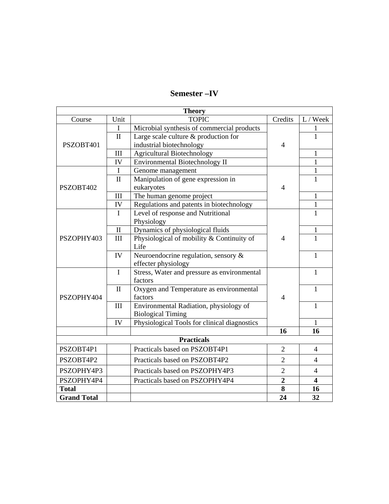| <b>Semester-IV</b> |  |
|--------------------|--|
|--------------------|--|

| <b>Theory</b>                                                |              |                                              |                |                         |
|--------------------------------------------------------------|--------------|----------------------------------------------|----------------|-------------------------|
| Course                                                       | Unit         | <b>TOPIC</b>                                 | Credits        | L / Week                |
|                                                              | $\mathbf I$  | Microbial synthesis of commercial products   |                | 1                       |
|                                                              | $\mathbf{I}$ | Large scale culture & production for         |                | $\mathbf{1}$            |
| PSZOBT401                                                    |              | industrial biotechnology                     | $\overline{4}$ |                         |
|                                                              | III          | <b>Agricultural Biotechnology</b>            |                | 1                       |
|                                                              | IV           | Environmental Biotechnology II               |                | $\mathbf{1}$            |
|                                                              | $\mathbf I$  | Genome management                            |                | $\mathbf{1}$            |
|                                                              | $\mathbf{I}$ | Manipulation of gene expression in           |                | $\mathbf{1}$            |
| PSZOBT402                                                    |              | eukaryotes                                   | $\overline{4}$ |                         |
|                                                              | III          | The human genome project                     |                | $\mathbf{1}$            |
|                                                              | IV           | Regulations and patents in biotechnology     |                | $\mathbf{1}$            |
|                                                              | I            | Level of response and Nutritional            |                | 1                       |
|                                                              |              | Physiology                                   |                |                         |
|                                                              | $\mathbf{I}$ | Dynamics of physiological fluids             |                | $\mathbf 1$             |
| PSZOPHY403                                                   | III          | Physiological of mobility & Continuity of    | $\overline{4}$ | $\overline{1}$          |
|                                                              |              | Life                                         |                |                         |
|                                                              | IV           | Neuroendocrine regulation, sensory &         |                | $\mathbf{1}$            |
|                                                              |              | effecter physiology                          |                |                         |
|                                                              | $\mathbf{I}$ | Stress, Water and pressure as environmental  |                | 1                       |
|                                                              |              | factors                                      |                |                         |
|                                                              | $\mathbf{I}$ | Oxygen and Temperature as environmental      | 1              |                         |
| PSZOPHY404                                                   |              | factors                                      | $\overline{4}$ |                         |
|                                                              | III          | Environmental Radiation, physiology of       |                | 1                       |
|                                                              |              | <b>Biological Timing</b>                     |                |                         |
|                                                              | IV           | Physiological Tools for clinical diagnostics |                | 1                       |
|                                                              |              | 16                                           | 16             |                         |
| <b>Practicals</b>                                            |              |                                              |                |                         |
| PSZOBT4P1                                                    |              | Practicals based on PSZOBT4P1                | $\overline{2}$ | 4                       |
| $\overline{2}$<br>Practicals based on PSZOBT4P2<br>PSZOBT4P2 |              | $\overline{4}$                               |                |                         |
| PSZOPHY4P3                                                   |              | Practicals based on PSZOPHY4P3               | $\overline{2}$ | $\overline{4}$          |
| PSZOPHY4P4                                                   |              | Practicals based on PSZOPHY4P4               | $\overline{2}$ | $\overline{\mathbf{4}}$ |
| 8<br><b>Total</b><br>16                                      |              |                                              |                |                         |
| <b>Grand Total</b>                                           |              |                                              | 24             | 32                      |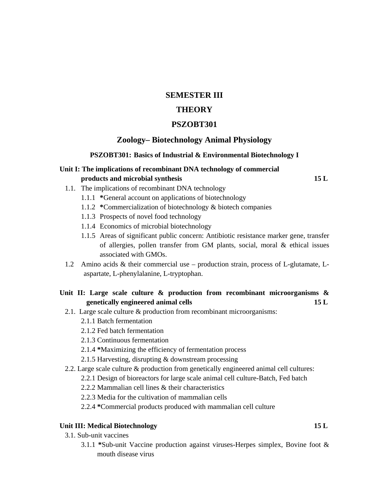#### **SEMESTER III**

### **THEORY**

#### **PSZOBT301**

#### **Zoology– Biotechnology Animal Physiology**

#### **PSZOBT301: Basics of Industrial & Environmental Biotechnology I**

### **Unit I: The implications of recombinant DNA technology of commercial products and microbial synthesis 15 L**

- 1.1. The implications of recombinant DNA technology
	- 1.1.1 **\***General account on applications of biotechnology
	- 1.1.2 **\***Commercialization of biotechnology & biotech companies
	- 1.1.3 Prospects of novel food technology
	- 1.1.4 Economics of microbial biotechnology
	- 1.1.5 Areas of significant public concern: Antibiotic resistance marker gene, transfer of allergies, pollen transfer from GM plants, social, moral & ethical issues associated with GMOs.
- 1.2 Amino acids & their commercial use production strain, process of L-glutamate, Laspartate, L-phenylalanine, L-tryptophan.

#### **Unit II: Large scale culture & production from recombinant microorganisms & genetically engineered animal cells 15 L**

- 2.1. Large scale culture & production from recombinant microorganisms:
	- 2.1.1 Batch fermentation
	- 2.1.2 Fed batch fermentation
	- 2.1.3 Continuous fermentation
	- 2.1.4 **\***Maximizing the efficiency of fermentation process
	- 2.1.5 Harvesting, disrupting & downstream processing
- 2.2. Large scale culture & production from genetically engineered animal cell cultures:
	- 2.2.1 Design of bioreactors for large scale animal cell culture-Batch, Fed batch
	- 2.2.2 Mammalian cell lines & their characteristics
	- 2.2.3 Media for the cultivation of mammalian cells
	- 2.2.4 **\***Commercial products produced with mammalian cell culture

#### Unit III: Medical Biotechnology 15 L

- 3.1. Sub-unit vaccines
	- 3.1.1 **\***Sub-unit Vaccine production against viruses-Herpes simplex, Bovine foot & mouth disease virus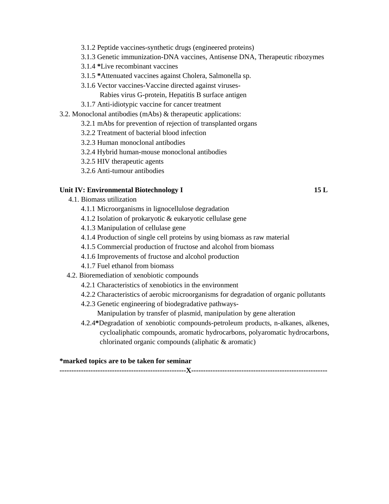- 3.1.2 Peptide vaccines-synthetic drugs (engineered proteins)
- 3.1.3 Genetic immunization-DNA vaccines, Antisense DNA, Therapeutic ribozymes
- 3.1.4 **\***Live recombinant vaccines
- 3.1.5 **\***Attenuated vaccines against Cholera, Salmonella sp.
- 3.1.6 Vector vaccines-Vaccine directed against viruses-
	- Rabies virus G-protein, Hepatitis B surface antigen
- 3.1.7 Anti-idiotypic vaccine for cancer treatment
- 3.2. Monoclonal antibodies (mAbs) & therapeutic applications:
	- 3.2.1 mAbs for prevention of rejection of transplanted organs
		- 3.2.2 Treatment of bacterial blood infection
		- 3.2.3 Human monoclonal antibodies
		- 3.2.4 Hybrid human-mouse monoclonal antibodies
		- 3.2.5 HIV therapeutic agents
		- 3.2.6 Anti-tumour antibodies

#### Unit IV: Environmental Biotechnology I 15 L

- 4.1. Biomass utilization
	- 4.1.1 Microorganisms in lignocellulose degradation
	- 4.1.2 Isolation of prokaryotic & eukaryotic cellulase gene
	- 4.1.3 Manipulation of cellulase gene
	- 4.1.4 Production of single cell proteins by using biomass as raw material
	- 4.1.5 Commercial production of fructose and alcohol from biomass
	- 4.1.6 Improvements of fructose and alcohol production
	- 4.1.7 Fuel ethanol from biomass
- 4.2. Bioremediation of xenobiotic compounds
	- 4.2.1 Characteristics of xenobiotics in the environment
	- 4.2.2 Characteristics of aerobic microorganisms for degradation of organic pollutants
	- 4.2.3 Genetic engineering of biodegradative pathways-
		- Manipulation by transfer of plasmid, manipulation by gene alteration
	- 4.2.4**\***Degradation of xenobiotic compounds-petroleum products, n-alkanes, alkenes, cycloaliphatic compounds, aromatic hydrocarbons, polyaromatic hydrocarbons, chlorinated organic compounds (aliphatic & aromatic)

#### **\*marked topics are to be taken for seminar**

**-----------------------------------------------------X---------------------------------------------------------**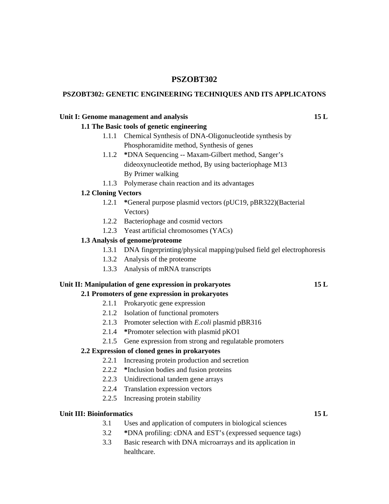### **PSZOBT302**

#### **PSZOBT302: GENETIC ENGINEERING TECHNIQUES AND ITS APPLICATONS**

#### Unit I: Genome management and analysis **15 L**

# **1.1 The Basic tools of genetic engineering**

- 1.1.1 Chemical Synthesis of DNA-Oligonucleotide synthesis by Phosphoramidite method, Synthesis of genes
- 1.1.2 **\***DNA Sequencing -- Maxam-Gilbert method, Sanger's dideoxynucleotide method, By using bacteriophage M13 By Primer walking
- 1.1.3 Polymerase chain reaction and its advantages

#### **1.2 Cloning Vectors**

- 1.2.1 **\***General purpose plasmid vectors (pUC19, pBR322)(Bacterial Vectors)
- 1.2.2 Bacteriophage and cosmid vectors
- 1.2.3 Yeast artificial chromosomes (YACs)

#### **1.3 Analysis of genome/proteome**

- 1.3.1 DNA fingerprinting/physical mapping/pulsed field gel electrophoresis
- 1.3.2 Analysis of the proteome
- 1.3.3 Analysis of mRNA transcripts

#### **Unit II: Manipulation of gene expression in prokaryotes 15 L**

#### **2.1 Promoters of gene expression in prokaryotes**

- 2.1.1 Prokaryotic gene expression
- 2.1.2 Isolation of functional promoters
- 2.1.3 Promoter selection with *E.coli* plasmid pBR316
- 2.1.4 **\***Promoter selection with plasmid pKO1
- 2.1.5 Gene expression from strong and regulatable promoters

#### **2.2 Expression of cloned genes in prokaryotes**

- 2.2.1 Increasing protein production and secretion
- 2.2.2 **\***Inclusion bodies and fusion proteins
- 2.2.3 Unidirectional tandem gene arrays
- 2.2.4 Translation expression vectors
- 2.2.5 Increasing protein stability

#### Unit III: Bioinformatics 15 L

- 3.1 Uses and application of computers in biological sciences
- 3.2 **\***DNA profiling: cDNA and EST's (expressed sequence tags)
- 3.3 Basic research with DNA microarrays and its application in healthcare.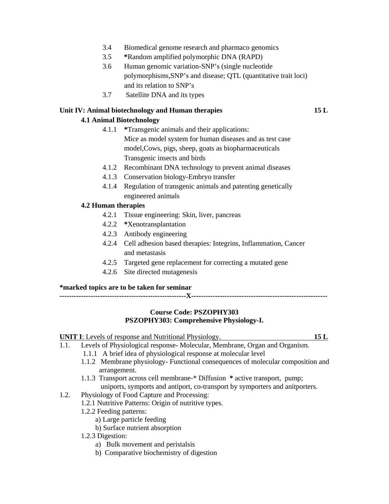- 3.4 Biomedical genome research and pharmaco genomics
- 3.5 **\***Random amplified polymorphic DNA (RAPD)
- 3.6 Human genomic variation-SNP's (single nucleotide polymorphisms,SNP's and disease; QTL (quantitative trait loci) and its relation to SNP's
- 3.7 Satellite DNA and its types

#### **Unit IV: Animal biotechnology and Human therapies 15 L**

#### **4.1 Animal Biotechnology**

- 4.1.1 **\***Transgenic animals and their applications: Mice as model system for human diseases and as test case model,Cows, pigs, sheep, goats as biopharmaceuticals Transgenic insects and birds
- 4.1.2 Recombinant DNA technology to prevent animal diseases
- 4.1.3 Conservation biology-Embryo transfer
- 4.1.4 Regulation of transgenic animals and patenting genetically engineered animals

#### **4.2 Human therapies**

- 4.2.1 Tissue engineering: Skin, liver, pancreas
- 4.2.2 **\***Xenotransplantation
- 4.2.3 Antibody engineering
- 4.2.4 Cell adhesion based therapies: Integrins, Inflammation, Cancer and metastasis
- 4.2.5 Targeted gene replacement for correcting a mutated gene
- 4.2.6 Site directed mutagenesis

#### **\*marked topics are to be taken for seminar**

**-----------------------------------------------------X---------------------------------------------------------** 

#### **Course Code: PSZOPHY303 PSZOPHY303: Comprehensive Physiology-I.**

**UNIT I**: Levels of response and Nutritional Physiology. **15 L**

- 1.1. Levels of Physiological response- Molecular, Membrane, Organ and Organism.
	- 1.1.1 A brief idea of physiological response at molecular level
	- 1.1.2 Membrane physiology- Functional consequences of molecular composition and arrangement.
	- 1.1.3 Transport across cell membrane-\* Diffusion **\*** active transport, pump; uniports, symports and antiport, co-transport by symporters and anitporters.

#### 1.2. Physiology of Food Capture and Processing:

- 1.2.1 Nutritive Patterns: Origin of nutritive types.
- 1.2.2 Feeding patterns:
	- a) Large particle feeding
	- b) Surface nutrient absorption
- 1.2.3 Digestion:
	- a) Bulk movement and peristalsis
	- b) Comparative biochemistry of digestion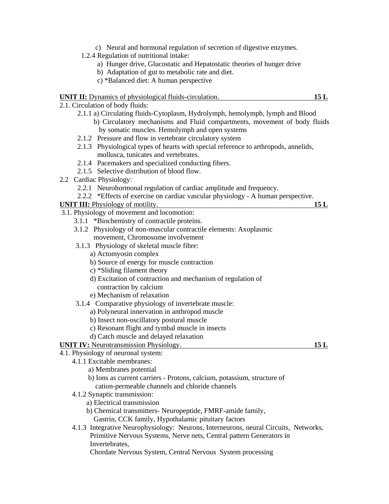- c) Neural and hormonal regulation of secretion of digestive enzymes.
- 1.2.4 Regulation of nutritional intake:
	- a) Hunger drive, Glucostatic and Hepatostatic theories of hunger drive
	- b) Adaptation of gut to metabolic rate and diet.
	- c) \*Balanced diet: A human perspective

#### **UNIT II:** Dynamics of physiological fluids-circulation. **15 L**

2.1. Circulation of body fluids:

- 2.1.1 a) Circulating fluids-Cytoplasm, Hydrolymph, hemolymph, lymph and Blood b) Circulatory mechanisms and Fluid compartments, movement of body fluids by somatic muscles. Hemolymph and open systems
- 2.1.2 Pressure and flow in vertebrate circulatory system
- 2.1.3 Physiological types of hearts with special reference to arthropods, annelids, mollusca, tunicates and vertebrates.
- 2.1.4 Pacemakers and specialized conducting fibers.
- 2.1.5 Selective distribution of blood flow.
- 2.2 Cardiac Physiology:
	- 2.2.1 Neurohormonal regulation of cardiac amplitude and frequency.
	- 2.2.2 \*Effects of exercise on cardiac vascular physiology A human perspective.

#### **UNIT III:** Physiology of motility. **15 L**

- 3.1. Physiology of movement and locomotion:
	- 3.1.1 \*Biochemistry of contractile proteins.
	- 3.1.2 Physiology of non-muscular contractile elements: Axoplasmic movement, Chromosome involvement
	- 3.1.3 Physiology of skeletal muscle fibre:
		- a) Actomyosin complex
		- b) Source of energy for muscle contraction
		- c) \*Sliding filament theory
		- d) Excitation of contraction and mechanism of regulation of contraction by calcium
		- e) Mechanism of relaxation
	- 3.1.4 Comparative physiology of invertebrate muscle:
		- a) Polyneural innervation in anthropod muscle
		- b) Insect non-oscillatory postural muscle
		- c) Resonant flight and tymbal muscle in insects
		- d) Catch muscle and delayed relaxation

**UNIT IV:** Neurotransmission Physiology. **15 L**

- 4.1. Physiology of neuronal system:
	- 4.1.1 Excitable membranes:
		- a) Membranes potential
		- b) Ions as current carriers Protons, calcium, potassium, structure of cation-permeable channels and chloride channels
		- 4.1.2 Synaptic transmission:
			- a) Electrical transmission
			- b) Chemical transmitters- Neuropeptide, FMRF-amide family,
				- Gastrin, CCK family, Hypothalamic pituitary factors
		- 4.1.3 Integrative Neurophysiology: Neurons, Interneurons, neural Circuits, Networks, Primitive Nervous Systems, Nerve nets, Central pattern Generators in Invertebrates,
			- Chordate Nervous System, Central Nervous System processing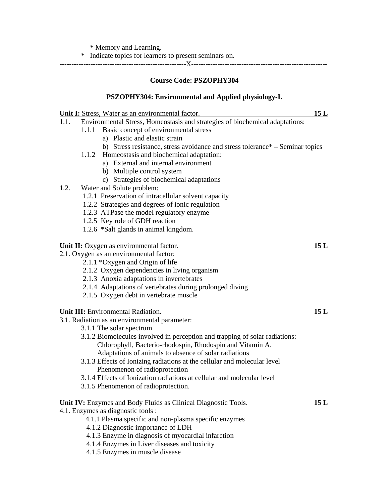\* Memory and Learning.

\* Indicate topics for learners to present seminars on.

-----------------------------------------------------X---------------------------------------------------------

#### **Course Code: PSZOPHY304**

### **PSZOPHY304: Environmental and Applied physiology-I.**

|      | Unit I: Stress, Water as an environmental factor.                             | 15L |
|------|-------------------------------------------------------------------------------|-----|
| 1.1. | Environmental Stress, Homeostasis and strategies of biochemical adaptations:  |     |
|      | Basic concept of environmental stress<br>1.1.1                                |     |
|      | a) Plastic and elastic strain                                                 |     |
|      | b) Stress resistance, stress avoidance and stress tolerance* – Seminar topics |     |
|      | 1.1.2 Homeostasis and biochemical adaptation:                                 |     |
|      | a) External and internal environment                                          |     |
|      | b) Multiple control system                                                    |     |
|      | c) Strategies of biochemical adaptations                                      |     |
| 1.2. | Water and Solute problem:                                                     |     |
|      | 1.2.1 Preservation of intracellular solvent capacity                          |     |
|      | 1.2.2 Strategies and degrees of ionic regulation                              |     |
|      | 1.2.3 ATPase the model regulatory enzyme                                      |     |
|      | 1.2.5 Key role of GDH reaction                                                |     |
|      | 1.2.6 *Salt glands in animal kingdom.                                         |     |
|      | Unit II: Oxygen as environmental factor.                                      | 15L |
|      | 2.1. Oxygen as an environmental factor:                                       |     |
|      | 2.1.1 *Oxygen and Origin of life                                              |     |
|      | 2.1.2 Oxygen dependencies in living organism                                  |     |
|      | 2.1.3 Anoxia adaptations in invertebrates                                     |     |
|      | 2.1.4 Adaptations of vertebrates during prolonged diving                      |     |
|      | 2.1.5 Oxygen debt in vertebrate muscle                                        |     |
|      | <b>Unit III:</b> Environmental Radiation.                                     | 15L |
|      | 3.1. Radiation as an environmental parameter:                                 |     |
|      | 3.1.1 The solar spectrum                                                      |     |
|      | 3.1.2 Biomolecules involved in perception and trapping of solar radiations:   |     |
|      | Chlorophyll, Bacterio-rhodospin, Rhodospin and Vitamin A.                     |     |
|      | Adaptations of animals to absence of solar radiations                         |     |
|      | 3.1.3 Effects of Ionizing radiations at the cellular and molecular level      |     |
|      | Phenomenon of radioprotection                                                 |     |
|      | 3.1.4 Effects of Ionization radiations at cellular and molecular level        |     |
|      | 3.1.5 Phenomenon of radioprotection.                                          |     |
|      | <b>Unit IV:</b> Enzymes and Body Fluids as Clinical Diagnostic Tools.         | 15L |
|      | 4.1. Enzymes as diagnostic tools :                                            |     |
|      | 4.1.1 Plasma specific and non-plasma specific enzymes                         |     |
|      | 4.1.2 Diagnostic importance of LDH                                            |     |
|      | 4.1.3 Enzyme in diagnosis of myocardial infarction                            |     |
|      | 4.1.4 Enzymes in Liver diseases and toxicity                                  |     |

4.1.5 Enzymes in muscle disease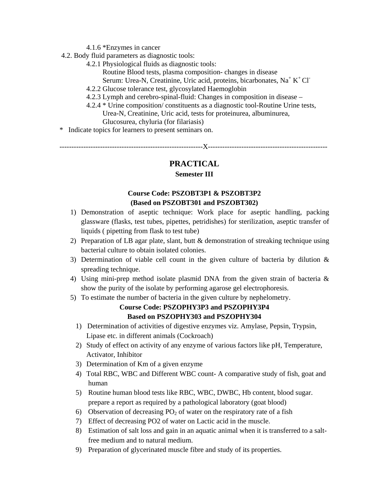- 4.1.6 \*Enzymes in cancer
- 4.2. Body fluid parameters as diagnostic tools:
	- 4.2.1 Physiological fluids as diagnostic tools:
		- Routine Blood tests, plasma composition- changes in disease
- Serum: Urea-N, Creatinine, Uric acid, proteins, bicarbonates, Na<sup>+</sup> K<sup>+</sup> Cl<sup>-</sup>
	- 4.2.2 Glucose tolerance test, glycosylated Haemoglobin
	- 4.2.3 Lymph and cerebro-spinal-fluid: Changes in composition in disease –
	- 4.2.4 \* Urine composition/ constituents as a diagnostic tool-Routine Urine tests, Urea-N, Creatinine, Uric acid, tests for proteinurea, albuminurea, Glucosurea, chyluria (for filariasis)
- \* Indicate topics for learners to present seminars on.

------------------------------------------------------------X--------------------------------------------------

## **PRACTICAL**

#### **Semester III**

### **Course Code: PSZOBT3P1 & PSZOBT3P2 (Based on PSZOBT301 and PSZOBT302)**

- 1) Demonstration of aseptic technique: Work place for aseptic handling, packing glassware (flasks, test tubes, pipettes, petridishes) for sterilization, aseptic transfer of liquids ( pipetting from flask to test tube)
- 2) Preparation of LB agar plate, slant, butt & demonstration of streaking technique using bacterial culture to obtain isolated colonies.
- 3) Determination of viable cell count in the given culture of bacteria by dilution & spreading technique.
- 4) Using mini-prep method isolate plasmid DNA from the given strain of bacteria & show the purity of the isolate by performing agarose gel electrophoresis.
- 5) To estimate the number of bacteria in the given culture by nephelometry.

## **Course Code: PSZOPHY3P3 and PSZOPHY3P4 Based on PSZOPHY303 and PSZOPHY304**

- 1) Determination of activities of digestive enzymes viz. Amylase, Pepsin, Trypsin, Lipase etc. in different animals (Cockroach)
- 2) Study of effect on activity of any enzyme of various factors like pH, Temperature, Activator, Inhibitor
- 3) Determination of Km of a given enzyme
- 4) Total RBC, WBC and Different WBC count- A comparative study of fish, goat and human
- 5) Routine human blood tests like RBC, WBC, DWBC, Hb content, blood sugar. prepare a report as required by a pathological laboratory (goat blood)
- 6) Observation of decreasing  $PO_2$  of water on the respiratory rate of a fish
- 7) Effect of decreasing PO2 of water on Lactic acid in the muscle.
- 8) Estimation of salt loss and gain in an aquatic animal when it is transferred to a salt free medium and to natural medium.
- 9) Preparation of glycerinated muscle fibre and study of its properties.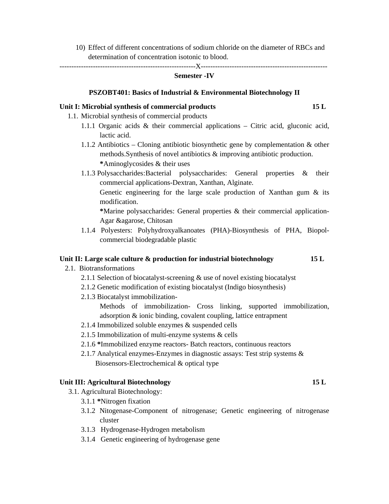10) Effect of different concentrations of sodium chloride on the diameter of RBCs and determination of concentration isotonic to blood.

---------------------------------------------------------X-----------------------------------------------------

#### **Semester -IV**

#### **PSZOBT401: Basics of Industrial & Environmental Biotechnology II**

#### **Unit I: Microbial synthesis of commercial products 15 L**

- 1.1. Microbial synthesis of commercial products
	- 1.1.1 Organic acids  $\&$  their commercial applications Citric acid, gluconic acid, lactic acid.
	- 1.1.2 Antibiotics Cloning antibiotic biosynthetic gene by complementation  $\&$  other methods.Synthesis of novel antibiotics & improving antibiotic production. **\***Aminoglycosides & their uses
	- 1.1.3 Polysaccharides: Bacterial polysaccharides: General properties & their commercial applications-Dextran, Xanthan, Alginate.

 Genetic engineering for the large scale production of Xanthan gum & its modification.

**\***Marine polysaccharides: General properties & their commercial application-Agar &agarose, Chitosan

1.1.4 Polyesters: Polyhydroxyalkanoates (PHA)-Biosynthesis of PHA, Biopolcommercial biodegradable plastic

#### Unit II: Large scale culture & production for industrial biotechnology 15 L

- 2.1. Biotransformations
	- 2.1.1 Selection of biocatalyst-screening & use of novel existing biocatalyst
	- 2.1.2 Genetic modification of existing biocatalyst (Indigo biosynthesis)
	- 2.1.3 Biocatalyst immobilization-

 Methods of immobilization- Cross linking, supported immobilization, adsorption & ionic binding, covalent coupling, lattice entrapment

- 2.1.4 Immobilized soluble enzymes & suspended cells
- 2.1.5 Immobilization of multi-enzyme systems & cells
- 2.1.6 **\***Immobilized enzyme reactors- Batch reactors, continuous reactors
- 2.1.7 Analytical enzymes-Enzymes in diagnostic assays: Test strip systems & Biosensors-Electrochemical & optical type

#### **Unit III: Agricultural Biotechnology 15 L**

- 3.1. Agricultural Biotechnology:
	- 3.1.1 **\***Nitrogen fixation
	- 3.1.2 Nitogenase-Component of nitrogenase; Genetic engineering of nitrogenase cluster
	- 3.1.3 Hydrogenase-Hydrogen metabolism
	- 3.1.4 Genetic engineering of hydrogenase gene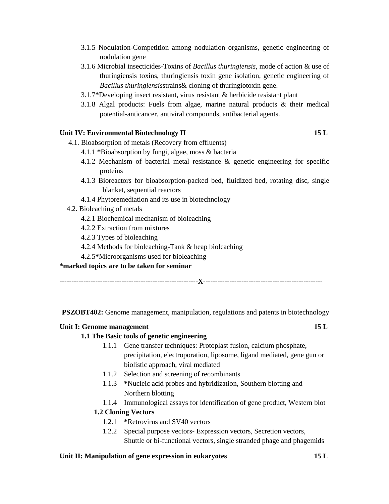- 3.1.5 Nodulation-Competition among nodulation organisms, genetic engineering of nodulation gene
- 3.1.6 Microbial insecticides-Toxins of *Bacillus thuringiensis*, mode of action & use of thuringiensis toxins, thuringiensis toxin gene isolation, genetic engineering of *Bacillus thuringiensis*strains& cloning of thuringiotoxin gene.
- 3.1.7**\***Developing insect resistant, virus resistant & herbicide resistant plant
- 3.1.8 Algal products: Fuels from algae, marine natural products & their medical potential-anticancer, antiviral compounds, antibacterial agents.

#### Unit IV: Environmental Biotechnology II 15 L

- 4.1. Bioabsorption of metals (Recovery from effluents)
	- 4.1.1 **\***Bioabsorption by fungi, algae, moss & bacteria
	- 4.1.2 Mechanism of bacterial metal resistance & genetic engineering for specific proteins
	- 4.1.3 Bioreactors for bioabsorption-packed bed, fluidized bed, rotating disc, single blanket, sequential reactors
	- 4.1.4 Phytoremediation and its use in biotechnology
- 4.2. Bioleaching of metals
	- 4.2.1 Biochemical mechanism of bioleaching
	- 4.2.2 Extraction from mixtures
	- 4.2.3 Types of bioleaching
	- 4.2.4 Methods for bioleaching-Tank & heap bioleaching
	- 4.2.5**\***Microorganisms used for bioleaching

#### **\*marked topics are to be taken for seminar**

**----------------------------------------------------------X--------------------------------------------------** 

**PSZOBT402:** Genome management, manipulation, regulations and patents in biotechnology

#### Unit I: Genome management **15 L**

#### **1.1 The Basic tools of genetic engineering**

- 1.1.1 Gene transfer techniques: Protoplast fusion, calcium phosphate, precipitation, electroporation, liposome, ligand mediated, gene gun or biolistic approach, viral mediated
- 1.1.2 Selection and screening of recombinants
- 1.1.3 **\***Nucleic acid probes and hybridization, Southern blotting and Northern blotting
- 1.1.4 Immunological assays for identification of gene product, Western blot

#### **1.2 Cloning Vectors**

- 1.2.1 **\***Retrovirus and SV40 vectors
- 1.2.2 Special purpose vectors- Expression vectors, Secretion vectors, Shuttle or bi-functional vectors, single stranded phage and phagemids

#### **Unit II: Manipulation of gene expression in eukaryotes 15 L**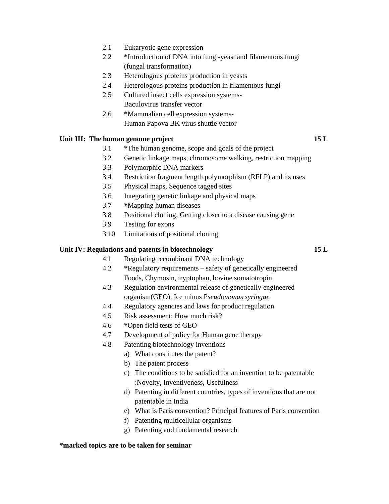- 2.1 Eukaryotic gene expression
- 2.2 **\***Introduction of DNA into fungi-yeast and filamentous fungi (fungal transformation)
- 2.3 Heterologous proteins production in yeasts
- 2.4 Heterologous proteins production in filamentous fungi
- 2.5 Cultured insect cells expression systems-Baculovirus transfer vector
- 2.6 **\***Mammalian cell expression systems- Human Papova BK virus shuttle vector

#### Unit III: The human genome project 15 L

- 3.1 **\***The human genome, scope and goals of the project
- 3.2 Genetic linkage maps, chromosome walking, restriction mapping
- 3.3 Polymorphic DNA markers
- 3.4 Restriction fragment length polymorphism (RFLP) and its uses
- 3.5 Physical maps, Sequence tagged sites
- 3.6 Integrating genetic linkage and physical maps

4.1 Regulating recombinant DNA technology

- 3.7 **\***Mapping human diseases
- 3.8 Positional cloning: Getting closer to a disease causing gene
- 3.9 Testing for exons
- 3.10 Limitations of positional cloning

#### **Unit IV: Regulations and patents in biotechnology 15 L**

- 4.2 **\***Regulatory requirements safety of genetically engineered Foods, Chymosin, tryptophan, bovine somatotropin
- 4.3 Regulation environmental release of genetically engineered organism(GEO). Ice minus P*seudomonas syringae*
- 4.4 Regulatory agencies and laws for product regulation
- 4.5 Risk assessment: How much risk?
- 4.6 **\***Open field tests of GEO
- 4.7 Development of policy for Human gene therapy
- 4.8 Patenting biotechnology inventions
	- a) What constitutes the patent?
	- b) The patent process
	- c) The conditions to be satisfied for an invention to be patentable :Novelty, Inventiveness, Usefulness
	- d) Patenting in different countries, types of inventions that are not patentable in India
	- e) What is Paris convention? Principal features of Paris convention
	- f) Patenting multicellular organisms
	- g) Patenting and fundamental research

#### **\*marked topics are to be taken for seminar**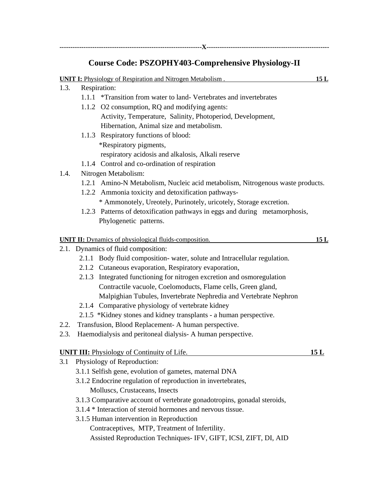**-----------------------------------------------------------------X--------------------------------------------------------** 

# **Course Code: PSZOPHY403-Comprehensive Physiology-II**

|      | <b>UNIT I:</b> Physiology of Respiration and Nitrogen Metabolism.              | 15L  |
|------|--------------------------------------------------------------------------------|------|
| 1.3. | Respiration:                                                                   |      |
|      | 1.1.1 *Transition from water to land-Vertebrates and invertebrates             |      |
|      | 1.1.2 O2 consumption, RQ and modifying agents:                                 |      |
|      | Activity, Temperature, Salinity, Photoperiod, Development,                     |      |
|      | Hibernation, Animal size and metabolism.                                       |      |
|      | 1.1.3 Respiratory functions of blood:                                          |      |
|      | *Respiratory pigments,                                                         |      |
|      | respiratory acidosis and alkalosis, Alkali reserve                             |      |
|      | 1.1.4 Control and co-ordination of respiration                                 |      |
| 1.4. | Nitrogen Metabolism:                                                           |      |
|      | 1.2.1 Amino-N Metabolism, Nucleic acid metabolism, Nitrogenous waste products. |      |
|      | 1.2.2 Ammonia toxicity and detoxification pathways-                            |      |
|      | * Ammonotely, Ureotely, Purinotely, uricotely, Storage excretion.              |      |
|      | 1.2.3 Patterns of detoxification pathways in eggs and during metamorphosis,    |      |
|      | Phylogenetic patterns.                                                         |      |
|      | <b>UNIT II:</b> Dynamics of physiological fluids-composition.                  | 15L  |
|      | 2.1. Dynamics of fluid composition:                                            |      |
|      | 2.1.1 Body fluid composition- water, solute and Intracellular regulation.      |      |
|      | 2.1.2 Cutaneous evaporation, Respiratory evaporation,                          |      |
|      | 2.1.3 Integrated functioning for nitrogen excretion and osmoregulation         |      |
|      | Contractile vacuole, Coelomoducts, Flame cells, Green gland,                   |      |
|      | Malpighian Tubules, Invertebrate Nephredia and Vertebrate Nephron              |      |
|      | 2.1.4 Comparative physiology of vertebrate kidney                              |      |
|      | 2.1.5 *Kidney stones and kidney transplants - a human perspective.             |      |
| 2.2. | Transfusion, Blood Replacement- A human perspective.                           |      |
| 2.3. | Haemodialysis and peritoneal dialysis-A human perspective.                     |      |
|      | <b>UNIT III:</b> Physiology of Continuity of Life.                             | 15 L |
| 3.1  | Physiology of Reproduction:                                                    |      |
|      | 3.1.1 Selfish gene, evolution of gametes, maternal DNA                         |      |
|      | 3.1.2 Endocrine regulation of reproduction in invertebrates,                   |      |
|      | Molluscs, Crustaceans, Insects                                                 |      |
|      | 3.1.3 Comparative account of vertebrate gonadotropins, gonadal steroids,       |      |
|      | 3.1.4 * Interaction of steroid hormones and nervous tissue.                    |      |
|      | 3.1.5 Human intervention in Reproduction                                       |      |
|      | Contraceptives, MTP, Treatment of Infertility.                                 |      |
|      | Assisted Reproduction Techniques- IFV, GIFT, ICSI, ZIFT, DI, AID               |      |
|      |                                                                                |      |
|      |                                                                                |      |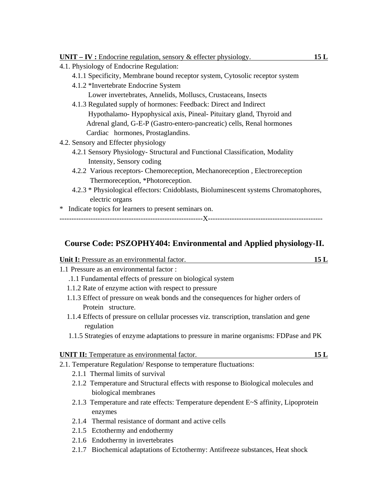| <b>UNIT</b> – <b>IV</b> : Endocrine regulation, sensory $\&$ effecter physiology.    | 15L |
|--------------------------------------------------------------------------------------|-----|
| 4.1. Physiology of Endocrine Regulation:                                             |     |
| 4.1.1 Specificity, Membrane bound receptor system, Cytosolic receptor system         |     |
| 4.1.2 *Invertebrate Endocrine System                                                 |     |
| Lower invertebrates, Annelids, Molluscs, Crustaceans, Insects                        |     |
| 4.1.3 Regulated supply of hormones: Feedback: Direct and Indirect                    |     |
| Hypothalamo- Hypophysical axis, Pineal- Pituitary gland, Thyroid and                 |     |
| Adrenal gland, G-E-P (Gastro-entero-pancreatic) cells, Renal hormones                |     |
| Cardiac hormones, Prostaglandins.                                                    |     |
| 4.2. Sensory and Effecter physiology                                                 |     |
| 4.2.1 Sensory Physiology- Structural and Functional Classification, Modality         |     |
| Intensity, Sensory coding                                                            |     |
| 4.2.2 Various receptors- Chemoreception, Mechanoreception, Electroreception          |     |
| Thermoreception, *Photoreception.                                                    |     |
| 4.2.3 * Physiological effectors: Cnidoblasts, Bioluminescent systems Chromatophores, |     |
| electric organs                                                                      |     |
| Indicate topics for learners to present seminars on.<br>∗                            |     |
|                                                                                      |     |

### **Course Code: PSZOPHY404: Environmental and Applied physiology-II.**

| Unit I: Pressure as an environmental factor. |  |
|----------------------------------------------|--|
|                                              |  |

1.1 Pressure as an environmental factor :

- .1.1 Fundamental effects of pressure on biological system
- 1.1.2 Rate of enzyme action with respect to pressure
- 1.1.3 Effect of pressure on weak bonds and the consequences for higher orders of Protein structure.
- 1.1.4 Effects of pressure on cellular processes viz. transcription, translation and gene regulation
- 1.1.5 Strategies of enzyme adaptations to pressure in marine organisms: FDPase and PK

| <b>UNIT II:</b> Temperature as environmental factor. |  |
|------------------------------------------------------|--|
|                                                      |  |

- 2.1. Temperature Regulation/ Response to temperature fluctuations:
	- 2.1.1 Thermal limits of survival
	- 2.1.2 Temperature and Structural effects with response to Biological molecules and biological membranes
	- 2.1.3 Temperature and rate effects: Temperature dependent E~S affinity, Lipoprotein enzymes
	- 2.1.4 Thermal resistance of dormant and active cells
	- 2.1.5 Ectothermy and endothermy
	- 2.1.6 Endothermy in invertebrates
	- 2.1.7 Biochemical adaptations of Ectothermy: Antifreeze substances, Heat shock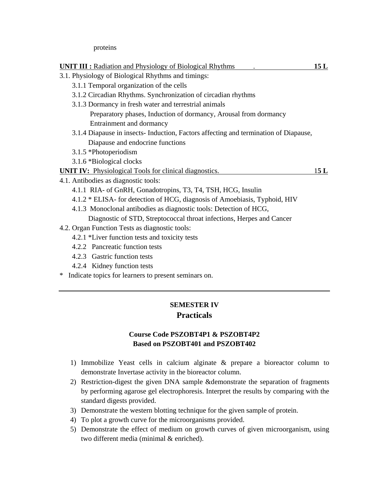proteins

| <b>UNIT III:</b> Radiation and Physiology of Biological Rhythms                     | 15L |
|-------------------------------------------------------------------------------------|-----|
| 3.1. Physiology of Biological Rhythms and timings:                                  |     |
| 3.1.1 Temporal organization of the cells                                            |     |
| 3.1.2 Circadian Rhythms. Synchronization of circadian rhythms                       |     |
| 3.1.3 Dormancy in fresh water and terrestrial animals                               |     |
| Preparatory phases, Induction of dormancy, Arousal from dormancy                    |     |
| Entrainment and dormancy                                                            |     |
| 3.1.4 Diapause in insects-Induction, Factors affecting and termination of Diapause, |     |
| Diapause and endocrine functions                                                    |     |
| 3.1.5 *Photoperiodism                                                               |     |
| 3.1.6 *Biological clocks                                                            |     |
| <b>UNIT IV:</b> Physiological Tools for clinical diagnostics.                       | 15L |
| 4.1. Antibodies as diagnostic tools:                                                |     |
| 4.1.1 RIA- of GnRH, Gonadotropins, T3, T4, TSH, HCG, Insulin                        |     |
| 4.1.2 * ELISA- for detection of HCG, diagnosis of Amoebiasis, Typhoid, HIV          |     |
| 4.1.3 Monoclonal antibodies as diagnostic tools: Detection of HCG,                  |     |
| Diagnostic of STD, Streptococcal throat infections, Herpes and Cancer               |     |
| 4.2. Organ Function Tests as diagnostic tools:                                      |     |
| 4.2.1 *Liver function tests and toxicity tests                                      |     |
| 4.2.2 Pancreatic function tests                                                     |     |
| 4.2.3 Gastric function tests                                                        |     |
| 4.2.4 Kidney function tests                                                         |     |
| * Indicate topics for learners to present seminars on.                              |     |

# **SEMESTER IV Practicals**

### **Course Code PSZOBT4P1 & PSZOBT4P2 Based on PSZOBT401 and PSZOBT402**

- 1) Immobilize Yeast cells in calcium alginate & prepare a bioreactor column to demonstrate Invertase activity in the bioreactor column.
- 2) Restriction-digest the given DNA sample &demonstrate the separation of fragments by performing agarose gel electrophoresis. Interpret the results by comparing with the standard digests provided.
- 3) Demonstrate the western blotting technique for the given sample of protein.
- 4) To plot a growth curve for the microorganisms provided.
- 5) Demonstrate the effect of medium on growth curves of given microorganism, using two different media (minimal & enriched).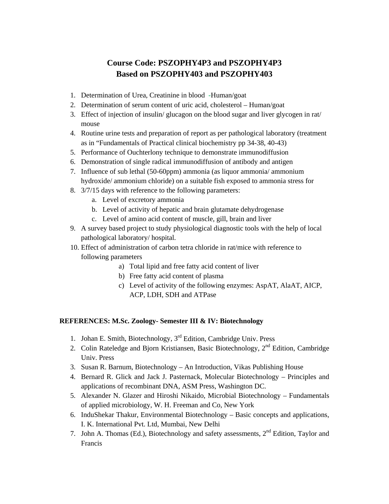# **Course Code: PSZOPHY4P3 and PSZOPHY4P3 Based on PSZOPHY403 and PSZOPHY403**

- 1. Determination of Urea, Creatinine in blood -Human/goat
- 2. Determination of serum content of uric acid, cholesterol Human/goat
- 3. Effect of injection of insulin/ glucagon on the blood sugar and liver glycogen in rat/ mouse
- 4. Routine urine tests and preparation of report as per pathological laboratory (treatment as in "Fundamentals of Practical clinical biochemistry pp 34-38, 40-43)
- 5. Performance of Ouchterlony technique to demonstrate immunodiffusion
- 6. Demonstration of single radical immunodiffusion of antibody and antigen
- 7. Influence of sub lethal (50-60ppm) ammonia (as liquor ammonia/ ammonium hydroxide/ ammonium chloride) on a suitable fish exposed to ammonia stress for
- 8. 3/7/15 days with reference to the following parameters:
	- a. Level of excretory ammonia
	- b. Level of activity of hepatic and brain glutamate dehydrogenase
	- c. Level of amino acid content of muscle, gill, brain and liver
- 9. A survey based project to study physiological diagnostic tools with the help of local pathological laboratory/ hospital.
- 10. Effect of administration of carbon tetra chloride in rat/mice with reference to following parameters
	- a) Total lipid and free fatty acid content of liver
	- b) Free fatty acid content of plasma
	- c) Level of activity of the following enzymes: AspAT, AlaAT, AICP, ACP, LDH, SDH and ATPase

#### **REFERENCES: M.Sc. Zoology- Semester III & IV: Biotechnology**

- 1. Johan E. Smith, Biotechnology,  $3<sup>rd</sup>$  Edition, Cambridge Univ. Press
- 2. Colin Rateledge and Bjorn Kristiansen, Basic Biotechnology,  $2<sup>nd</sup>$  Edition, Cambridge Univ. Press
- 3. Susan R. Barnum, Biotechnology An Introduction, Vikas Publishing House
- 4. Bernard R. Glick and Jack J. Pasternack, Molecular Biotechnology Principles and applications of recombinant DNA, ASM Press, Washington DC.
- 5. Alexander N. Glazer and Hiroshi Nikaido, Microbial Biotechnology Fundamentals of applied microbiology, W. H. Freeman and Co, New York
- 6. InduShekar Thakur, Environmental Biotechnology Basic concepts and applications, I. K. International Pvt. Ltd, Mumbai, New Delhi
- 7. John A. Thomas (Ed.), Biotechnology and safety assessments, 2<sup>nd</sup> Edition, Taylor and Francis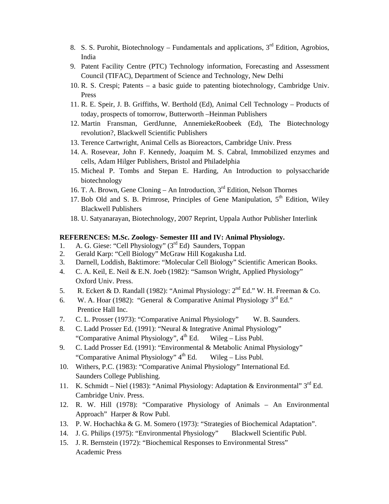- 8. S. S. Purohit, Biotechnology Fundamentals and applications,  $3<sup>rd</sup>$  Edition, Agrobios, India
- 9. Patent Facility Centre (PTC) Technology information, Forecasting and Assessment Council (TIFAC), Department of Science and Technology, New Delhi
- 10. R. S. Crespi; Patents a basic guide to patenting biotechnology, Cambridge Univ. Press
- 11. R. E. Speir, J. B. Griffiths, W. Berthold (Ed), Animal Cell Technology Products of today, prospects of tomorrow, Butterworth –Heinman Publishers
- 12. Martin Fransman, GerdJunne, AnnemiekeRoobeek (Ed), The Biotechnology revolution?, Blackwell Scientific Publishers
- 13. Terence Cartwright, Animal Cells as Bioreactors, Cambridge Univ. Press
- 14. A. Rosevear, John F. Kennedy, Joaquim M. S. Cabral, Immobilized enzymes and cells, Adam Hilger Publishers, Bristol and Philadelphia
- 15. Micheal P. Tombs and Stepan E. Harding, An Introduction to polysaccharide biotechnology
- 16. T. A. Brown, Gene Cloning An Introduction,  $3<sup>rd</sup>$  Edition, Nelson Thornes
- 17. Bob Old and S. B. Primrose, Principles of Gene Manipulation,  $5<sup>th</sup>$  Edition, Wiley Blackwell Publishers
- 18. U. Satyanarayan, Biotechnology, 2007 Reprint, Uppala Author Publisher Interlink

#### **REFERENCES: M.Sc. Zoology- Semester III and IV: Animal Physiology.**

- 1. A. G. Giese: "Cell Physiology" (3<sup>rd</sup> Ed) Saunders, Toppan
- 2. Gerald Karp: "Cell Biology" McGraw Hill Kogakusha Ltd.
- 3. Darnell, Loddish, Baktimore: "Molecular Cell Biology" Scientific American Books.
- 4. C. A. Keil, E. Neil & E.N. Joeb (1982): "Samson Wright, Applied Physiology" Oxford Univ. Press.
- 5. R. Eckert & D. Randall (1982): "Animal Physiology:  $2<sup>nd</sup> Ed."$  W. H. Freeman & Co.
- 6. W. A. Hoar (1982): "General & Comparative Animal Physiology  $3^{\text{rd}}$  Ed." Prentice Hall Inc.
- 7. C. L. Prosser (1973): "Comparative Animal Physiology" W. B. Saunders.
- 8. C. Ladd Prosser Ed. (1991): "Neural & Integrative Animal Physiology" "Comparative Animal Physiology",  $4<sup>th</sup>$  Ed. Wileg – Liss Publ.
- 9. C. Ladd Prosser Ed. (1991): "Environmental & Metabolic Animal Physiology" "Comparative Animal Physiology"  $4<sup>th</sup>$  Ed. Wileg – Liss Publ.
- 10. Withers, P.C. (1983): "Comparative Animal Physiology" International Ed. Saunders College Publishing.
- 11. K. Schmidt Niel (1983): "Animal Physiology: Adaptation & Environmental" 3<sup>rd</sup> Ed. Cambridge Univ. Press.
- 12. R. W. Hill (1978): "Comparative Physiology of Animals An Environmental Approach" Harper & Row Publ.
- 13. P. W. Hochachka & G. M. Somero (1973): "Strategies of Biochemical Adaptation".
- 14. J. G. Philips (1975): "Environmental Physiology" Blackwell Scientific Publ.
- 15. J. R. Bernstein (1972): "Biochemical Responses to Environmental Stress" Academic Press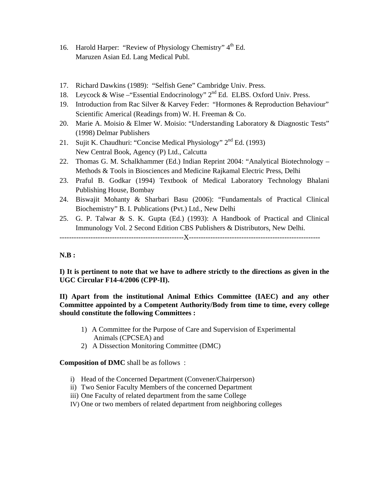- 16. Harold Harper: "Review of Physiology Chemistry" 4<sup>th</sup> Ed. Maruzen Asian Ed. Lang Medical Publ.
- 17. Richard Dawkins (1989): "Selfish Gene" Cambridge Univ. Press.
- 18. Leycock & Wise "Essential Endocrinology" 2<sup>nd</sup> Ed. ELBS. Oxford Univ. Press.
- 19. Introduction from Rac Silver & Karvey Feder: "Hormones & Reproduction Behaviour" Scientific Americal (Readings from) W. H. Freeman & Co.
- 20. Marie A. Moisio & Elmer W. Moisio: "Understanding Laboratory & Diagnostic Tests" (1998) Delmar Publishers
- 21. Sujit K. Chaudhuri: "Concise Medical Physiology"  $2<sup>nd</sup> Ed. (1993)$ New Central Book, Agency (P) Ltd., Calcutta
- 22. Thomas G. M. Schalkhammer (Ed.) Indian Reprint 2004: "Analytical Biotechnology Methods & Tools in Biosciences and Medicine Rajkamal Electric Press, Delhi
- 23. Praful B. Godkar (1994) Textbook of Medical Laboratory Technology Bhalani Publishing House, Bombay
- 24. Biswajit Mohanty & Sharbari Basu (2006): "Fundamentals of Practical Clinical Biochemistry" B. I. Publications (Pvt.) Ltd., New Delhi
- 25. G. P. Talwar & S. K. Gupta (Ed.) (1993): A Handbook of Practical and Clinical Immunology Vol. 2 Second Edition CBS Publishers & Distributors, New Delhi. ----------------------------------------------------X-------------------------------------------------------

#### **N.B :**

**I) It is pertinent to note that we have to adhere strictly to the directions as given in the UGC Circular F14-4/2006 (CPP-II).** 

#### **II) Apart from the institutional Animal Ethics Committee (IAEC) and any other Committee appointed by a Competent Authority/Body from time to time, every college should constitute the following Committees :**

- 1) A Committee for the Purpose of Care and Supervision of Experimental Animals (CPCSEA) and
- 2) A Dissection Monitoring Committee (DMC)

#### **Composition of DMC** shall be as follows :

- i) Head of the Concerned Department (Convener/Chairperson)
- ii) Two Senior Faculty Members of the concerned Department
- iii) One Faculty of related department from the same College
- IV) One or two members of related department from neighboring colleges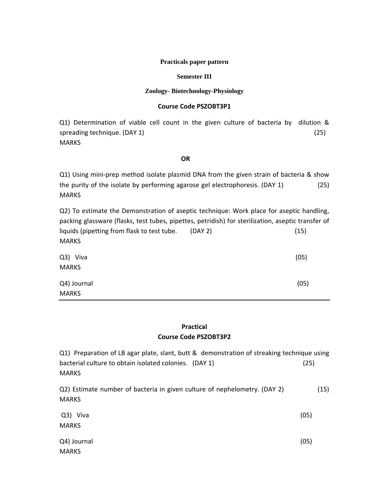#### **Practicals paper pattern**

#### **Semester III**

#### **Zoology- Biotechnology-Physiology**

#### **Course Code PSZOBT3P1**

Q1) Determination of viable cell count in the given culture of bacteria by dilution & spreading technique. (DAY 1) (25) MARKS

#### $\overline{OR}$

Q1) Using mini-prep method isolate plasmid DNA from the given strain of bacteria & show the purity of the isolate by performing agarose gel electrophoresis. (DAY 1) (25) **MARKS** 

Q2) To estimate the Demonstration of aseptic technique: Work place for aseptic handling, packing glassware (flasks, test tubes, pipettes, petridish) for sterilization, aseptic transfer of liquids (pipetting from flask to test tube. (DAY 2) (15) MARKS

| Q3) Viva     | (05) |
|--------------|------|
| <b>MARKS</b> |      |
| Q4) Journal  | (05) |
| <b>MARKS</b> |      |

#### **Practical Course Code PSZOBT3P2**

Q1) Preparation of LB agar plate, slant, butt & demonstration of streaking technique using bacterial culture to obtain isolated colonies. (DAY 1) (25) MARKS

Q2) Estimate number of bacteria in given culture of nephelometry. (DAY 2) (15) MARKS

| Q3) Viva     | (05) |
|--------------|------|
| <b>MARKS</b> |      |
| Q4) Journal  | (05) |
| <b>MARKS</b> |      |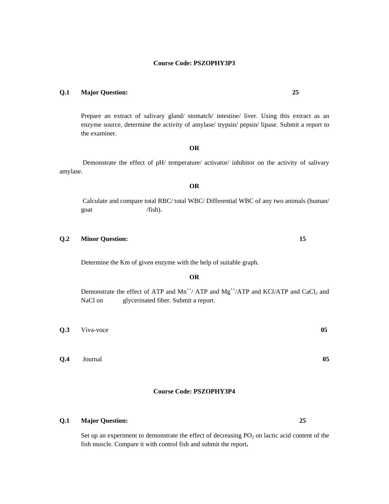#### **Q.1 Major Question: 25**

Prepare an extract of salivary gland/ stomatch/ intestine/ liver. Using this extract as an enzyme source, determine the activity of amylase/ trypsin/ pepsin/ lipase. Submit a report to the examiner.

#### **OR**

 Demonstrate the effect of pH/ temperature/ activator/ inhibitor on the activity of salivary amylase.

**OR** 

 Calculate and compare total RBC/ total WBC/ Differential WBC of any two animals (human/ goat /fish).

#### **Q.2 Minor Question: 15**

Determine the Km of given enzyme with the help of suitable graph.

#### **OR**

Demonstrate the effect of ATP and  $Mn^{++}/ATP$  and  $Mg^{++}/ATP$  and  $KCl/ATP$  and  $CaCl<sub>2</sub>$  and NaCl on glycerinated fiber. Submit a report.

**Q.3** Viva-voce **05** 

**Q.4** Journal **05** 

#### **Course Code: PSZOPHY3P4**

#### **Q.1 Major Question: 25**

Set up an experiment to demonstrate the effect of decreasing  $PO<sub>2</sub>$  on lactic acid content of the fish muscle. Compare it with control fish and submit the report**.**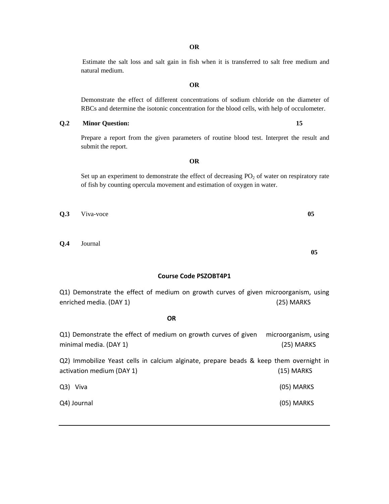Estimate the salt loss and salt gain in fish when it is transferred to salt free medium and natural medium.

Demonstrate the effect of different concentrations of sodium chloride on the diameter of RBCs and determine the isotonic concentration for the blood cells, with help of occulometer.

# **Q.2 Minor Question: 15**

Prepare a report from the given parameters of routine blood test. Interpret the result and submit the report.

Set up an experiment to demonstrate the effect of decreasing  $PO<sub>2</sub>$  of water on respiratory rate of fish by counting opercula movement and estimation of oxygen in water.

**Q.3** Viva-voce **05** 

**OR** 

**Q.4** Journal

**Course Code PSZOBT4P1**

**05** 

Q1) Demonstrate the effect of medium on growth curves of given microorganism, using enriched media. (DAY 1) (25) MARKS

Q1) Demonstrate the effect of medium on growth curves of given microorganism, using minimal media. (DAY 1) (25) MARKS Q2) Immobilize Yeast cells in calcium alginate, prepare beads & keep them overnight in activation medium (DAY 1) (15) MARKS Q3) Viva (05) MARKS Q4) Journal (05) MARKS

**OR** 

**OR** 

**OR**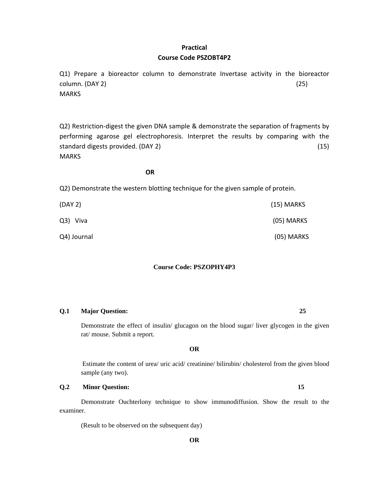#### **Practical Course Code PSZOBT4P2**

Q1) Prepare a bioreactor column to demonstrate Invertase activity in the bioreactor  $\text{column. (DAY 2)}$  (25) MARKS

Q2) Restriction-digest the given DNA sample & demonstrate the separation of fragments by performing agarose gel electrophoresis. Interpret the results by comparing with the standard digests provided. (DAY 2) (15) **MARKS** 

#### **OR**

Q2) Demonstrate the western blotting technique for the given sample of protein.

| (DAY 2)     | $(15)$ MARKS |
|-------------|--------------|
| Q3) Viva    | (05) MARKS   |
| Q4) Journal | (05) MARKS   |

#### **Course Code: PSZOPHY4P3**

#### **Q.1 Major Question: 25**

Demonstrate the effect of insulin/ glucagon on the blood sugar/ liver glycogen in the given rat/ mouse. Submit a report.

**OR** 

Estimate the content of urea/ uric acid/ creatinine/ bilirubin/ cholesterol from the given blood sample (any two).

#### **Q.2 Minor Question: 15**

 Demonstrate Ouchterlony technique to show immunodiffusion. Show the result to the examiner.

(Result to be observed on the subsequent day)